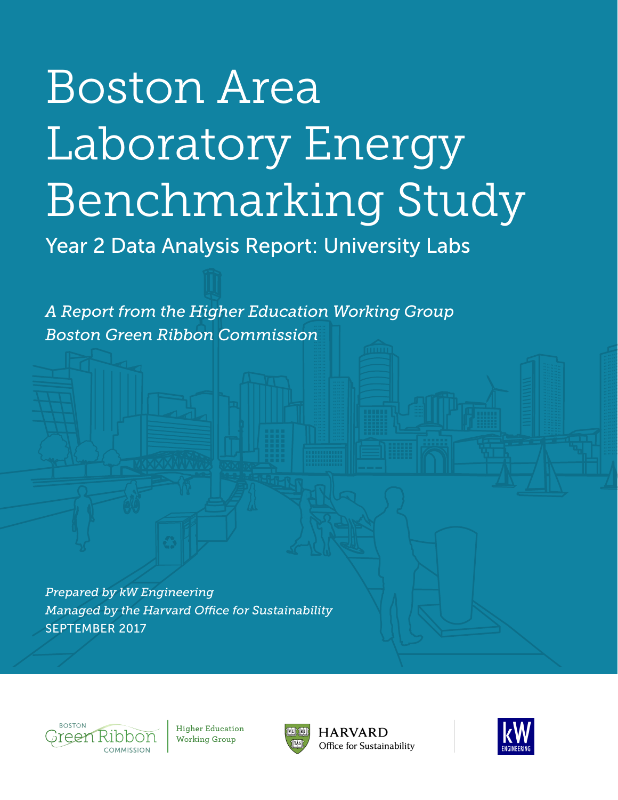# Boston Area Laboratory Energy Benchmarking Study

Year 2 Data Analysis Report: University Labs

*A Report from the Higher Education Working Group Boston Green Ribbon Commission* 

*Prepared by kW Engineering Managed by the Harvard Office for Sustainability* SEPTEMBER 2017



**Higher Education Working Group**



**HARVARD** Office for Sustainability

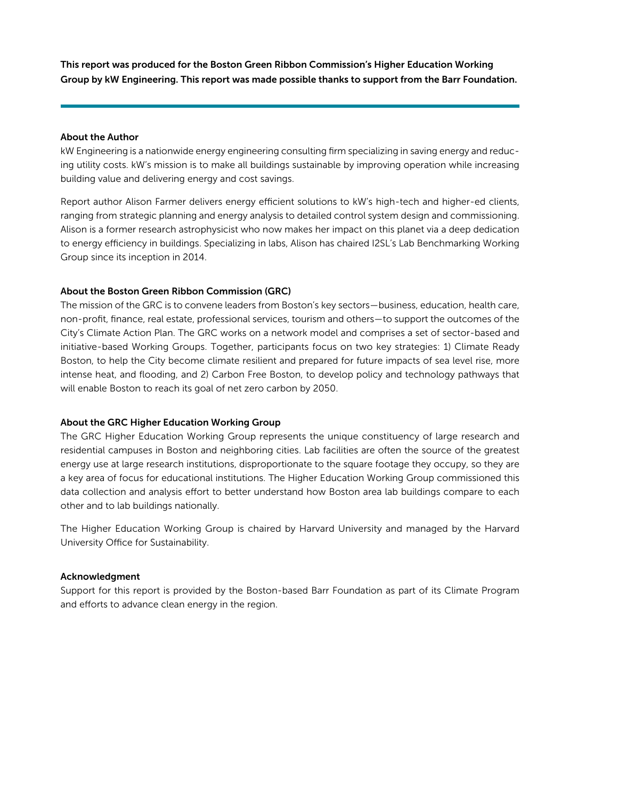This report was produced for the Boston Green Ribbon Commission's Higher Education Working Group by kW Engineering. This report was made possible thanks to support from the Barr Foundation.

#### About the Author

kW Engineering is a nationwide energy engineering consulting firm specializing in saving energy and reducing utility costs. kW's mission is to make all buildings sustainable by improving operation while increasing building value and delivering energy and cost savings.

Report author Alison Farmer delivers energy efficient solutions to kW's high-tech and higher-ed clients, ranging from strategic planning and energy analysis to detailed control system design and commissioning. Alison is a former research astrophysicist who now makes her impact on this planet via a deep dedication to energy efficiency in buildings. Specializing in labs, Alison has chaired I2SL's Lab Benchmarking Working Group since its inception in 2014.

#### About the Boston Green Ribbon Commission (GRC)

The mission of the GRC is to convene leaders from Boston's key sectors—business, education, health care, non-profit, finance, real estate, professional services, tourism and others—to support the outcomes of the City's Climate Action Plan. The GRC works on a network model and comprises a set of sector-based and initiative-based Working Groups. Together, participants focus on two key strategies: 1) Climate Ready Boston, to help the City become climate resilient and prepared for future impacts of sea level rise, more intense heat, and flooding, and 2) Carbon Free Boston, to develop policy and technology pathways that will enable Boston to reach its goal of net zero carbon by 2050.

#### About the GRC Higher Education Working Group

The GRC Higher Education Working Group represents the unique constituency of large research and residential campuses in Boston and neighboring cities. Lab facilities are often the source of the greatest energy use at large research institutions, disproportionate to the square footage they occupy, so they are a key area of focus for educational institutions. The Higher Education Working Group commissioned this data collection and analysis effort to better understand how Boston area lab buildings compare to each other and to lab buildings nationally.

The Higher Education Working Group is chaired by Harvard University and managed by the Harvard University Office for Sustainability.

#### Acknowledgment

Support for this report is provided by the Boston-based Barr Foundation as part of its Climate Program and efforts to advance clean energy in the region.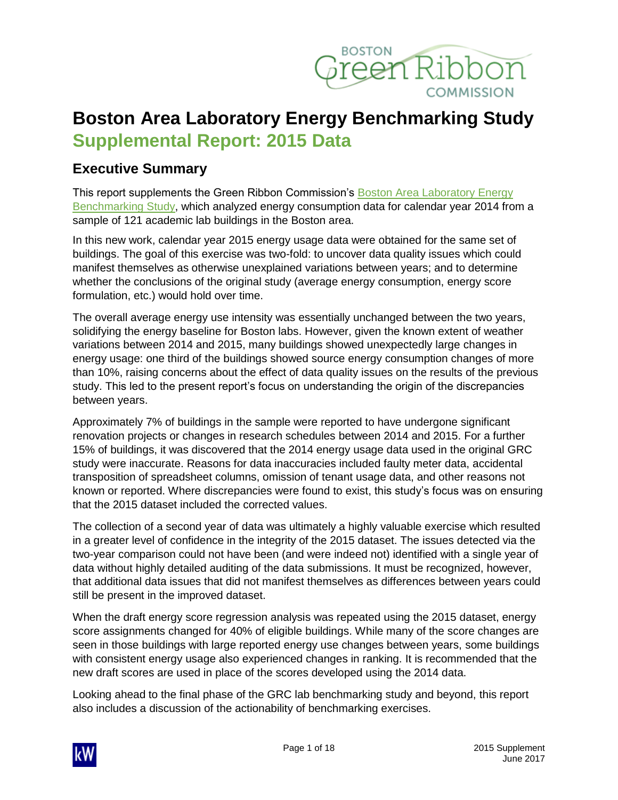

## **Boston Area Laboratory Energy Benchmarking Study Supplemental Report: 2015 Data**

## **Executive Summary**

This report supplements the Green Ribbon Commission's [Boston Area Laboratory Energy](http://www.greenribboncommission.org/document/boston-area-lab-energy-benchmarking-study/)  [Benchmarking Study,](http://www.greenribboncommission.org/document/boston-area-lab-energy-benchmarking-study/) which analyzed energy consumption data for calendar year 2014 from a sample of 121 academic lab buildings in the Boston area.

In this new work, calendar year 2015 energy usage data were obtained for the same set of buildings. The goal of this exercise was two-fold: to uncover data quality issues which could manifest themselves as otherwise unexplained variations between years; and to determine whether the conclusions of the original study (average energy consumption, energy score formulation, etc.) would hold over time.

The overall average energy use intensity was essentially unchanged between the two years, solidifying the energy baseline for Boston labs. However, given the known extent of weather variations between 2014 and 2015, many buildings showed unexpectedly large changes in energy usage: one third of the buildings showed source energy consumption changes of more than 10%, raising concerns about the effect of data quality issues on the results of the previous study. This led to the present report's focus on understanding the origin of the discrepancies between years.

Approximately 7% of buildings in the sample were reported to have undergone significant renovation projects or changes in research schedules between 2014 and 2015. For a further 15% of buildings, it was discovered that the 2014 energy usage data used in the original GRC study were inaccurate. Reasons for data inaccuracies included faulty meter data, accidental transposition of spreadsheet columns, omission of tenant usage data, and other reasons not known or reported. Where discrepancies were found to exist, this study's focus was on ensuring that the 2015 dataset included the corrected values.

The collection of a second year of data was ultimately a highly valuable exercise which resulted in a greater level of confidence in the integrity of the 2015 dataset. The issues detected via the two-year comparison could not have been (and were indeed not) identified with a single year of data without highly detailed auditing of the data submissions. It must be recognized, however, that additional data issues that did not manifest themselves as differences between years could still be present in the improved dataset.

When the draft energy score regression analysis was repeated using the 2015 dataset, energy score assignments changed for 40% of eligible buildings. While many of the score changes are seen in those buildings with large reported energy use changes between years, some buildings with consistent energy usage also experienced changes in ranking. It is recommended that the new draft scores are used in place of the scores developed using the 2014 data.

Looking ahead to the final phase of the GRC lab benchmarking study and beyond, this report also includes a discussion of the actionability of benchmarking exercises.

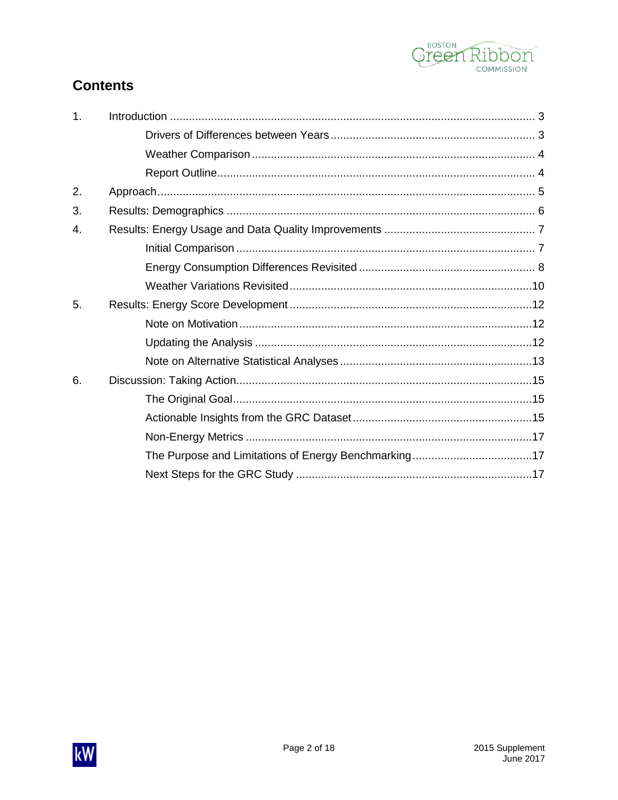

## **Contents**

| $\mathbf{1}$ . |  |
|----------------|--|
|                |  |
|                |  |
|                |  |
| 2.             |  |
| 3.             |  |
| 4.             |  |
|                |  |
|                |  |
|                |  |
| 5.             |  |
|                |  |
|                |  |
|                |  |
| 6.             |  |
|                |  |
|                |  |
|                |  |
|                |  |
|                |  |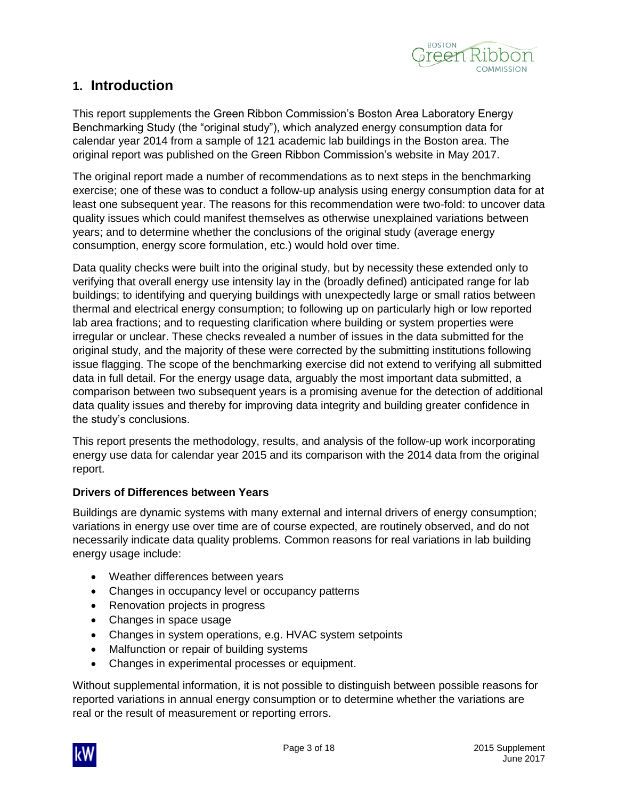

### <span id="page-4-0"></span>**1. Introduction**

This report supplements the Green Ribbon Commission's Boston Area Laboratory Energy Benchmarking Study (the "original study"), which analyzed energy consumption data for calendar year 2014 from a sample of 121 academic lab buildings in the Boston area. The original report was published on the Green Ribbon Commission's website in May 2017.

The original report made a number of recommendations as to next steps in the benchmarking exercise; one of these was to conduct a follow-up analysis using energy consumption data for at least one subsequent year. The reasons for this recommendation were two-fold: to uncover data quality issues which could manifest themselves as otherwise unexplained variations between years; and to determine whether the conclusions of the original study (average energy consumption, energy score formulation, etc.) would hold over time.

Data quality checks were built into the original study, but by necessity these extended only to verifying that overall energy use intensity lay in the (broadly defined) anticipated range for lab buildings; to identifying and querying buildings with unexpectedly large or small ratios between thermal and electrical energy consumption; to following up on particularly high or low reported lab area fractions; and to requesting clarification where building or system properties were irregular or unclear. These checks revealed a number of issues in the data submitted for the original study, and the majority of these were corrected by the submitting institutions following issue flagging. The scope of the benchmarking exercise did not extend to verifying all submitted data in full detail. For the energy usage data, arguably the most important data submitted, a comparison between two subsequent years is a promising avenue for the detection of additional data quality issues and thereby for improving data integrity and building greater confidence in the study's conclusions.

This report presents the methodology, results, and analysis of the follow-up work incorporating energy use data for calendar year 2015 and its comparison with the 2014 data from the original report.

#### <span id="page-4-1"></span>**Drivers of Differences between Years**

Buildings are dynamic systems with many external and internal drivers of energy consumption; variations in energy use over time are of course expected, are routinely observed, and do not necessarily indicate data quality problems. Common reasons for real variations in lab building energy usage include:

- Weather differences between years
- Changes in occupancy level or occupancy patterns
- Renovation projects in progress
- Changes in space usage
- Changes in system operations, e.g. HVAC system setpoints
- Malfunction or repair of building systems
- Changes in experimental processes or equipment.

Without supplemental information, it is not possible to distinguish between possible reasons for reported variations in annual energy consumption or to determine whether the variations are real or the result of measurement or reporting errors.

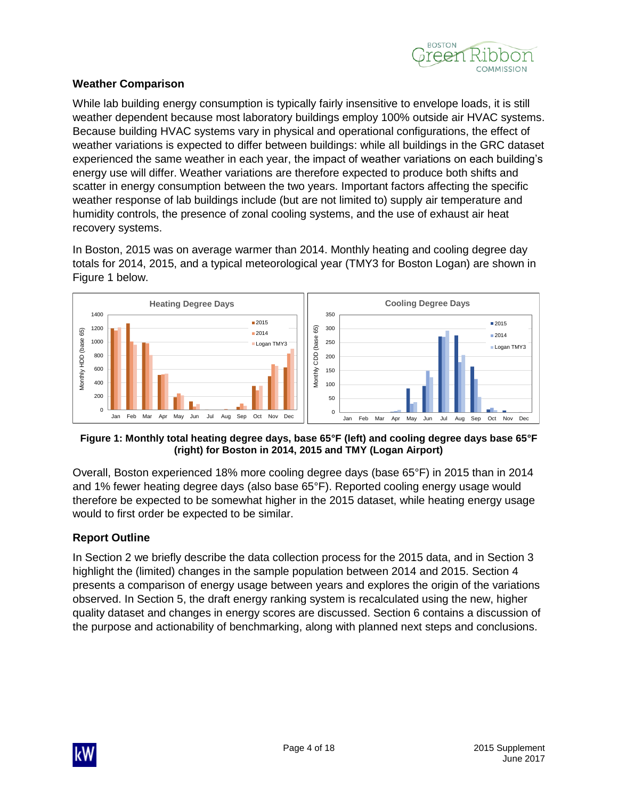

#### <span id="page-5-0"></span>**Weather Comparison**

While lab building energy consumption is typically fairly insensitive to envelope loads, it is still weather dependent because most laboratory buildings employ 100% outside air HVAC systems. Because building HVAC systems vary in physical and operational configurations, the effect of weather variations is expected to differ between buildings: while all buildings in the GRC dataset experienced the same weather in each year, the impact of weather variations on each building's energy use will differ. Weather variations are therefore expected to produce both shifts and scatter in energy consumption between the two years. Important factors affecting the specific weather response of lab buildings include (but are not limited to) supply air temperature and humidity controls, the presence of zonal cooling systems, and the use of exhaust air heat recovery systems.

In Boston, 2015 was on average warmer than 2014. Monthly heating and cooling degree day totals for 2014, 2015, and a typical meteorological year (TMY3 for Boston Logan) are shown in [Figure 1](#page-5-2) below.



#### <span id="page-5-2"></span>**Figure 1: Monthly total heating degree days, base 65°F (left) and cooling degree days base 65°F (right) for Boston in 2014, 2015 and TMY (Logan Airport)**

Overall, Boston experienced 18% more cooling degree days (base 65°F) in 2015 than in 2014 and 1% fewer heating degree days (also base 65°F). Reported cooling energy usage would therefore be expected to be somewhat higher in the 2015 dataset, while heating energy usage would to first order be expected to be similar.

#### <span id="page-5-1"></span>**Report Outline**

In Section 2 we briefly describe the data collection process for the 2015 data, and in Section 3 highlight the (limited) changes in the sample population between 2014 and 2015. Section 4 presents a comparison of energy usage between years and explores the origin of the variations observed. In Section 5, the draft energy ranking system is recalculated using the new, higher quality dataset and changes in energy scores are discussed. Section 6 contains a discussion of the purpose and actionability of benchmarking, along with planned next steps and conclusions.

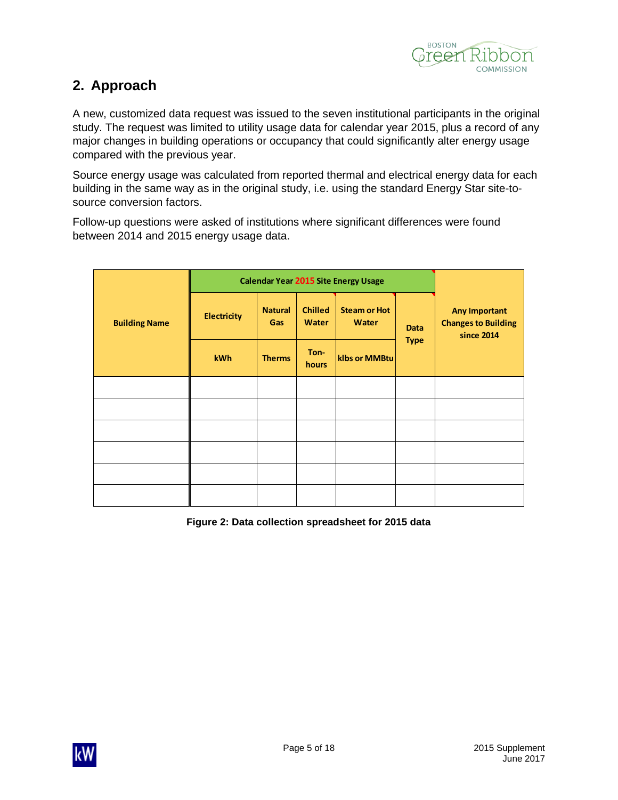

## <span id="page-6-0"></span>**2. Approach**

A new, customized data request was issued to the seven institutional participants in the original study. The request was limited to utility usage data for calendar year 2015, plus a record of any major changes in building operations or occupancy that could significantly alter energy usage compared with the previous year.

Source energy usage was calculated from reported thermal and electrical energy data for each building in the same way as in the original study, i.e. using the standard Energy Star site-tosource conversion factors.

Follow-up questions were asked of institutions where significant differences were found between 2014 and 2015 energy usage data.

|                      | <b>Calendar Year 2015 Site Energy Usage</b> |                       |                         |                                     |             |                                                                  |
|----------------------|---------------------------------------------|-----------------------|-------------------------|-------------------------------------|-------------|------------------------------------------------------------------|
| <b>Building Name</b> | <b>Electricity</b>                          | <b>Natural</b><br>Gas | <b>Chilled</b><br>Water | <b>Steam or Hot</b><br><b>Water</b> | <b>Data</b> | <b>Any Important</b><br><b>Changes to Building</b><br>since 2014 |
|                      | kWh                                         | <b>Therms</b>         | Ton-<br>hours           | klbs or MMBtu                       | <b>Type</b> |                                                                  |
|                      |                                             |                       |                         |                                     |             |                                                                  |
|                      |                                             |                       |                         |                                     |             |                                                                  |
|                      |                                             |                       |                         |                                     |             |                                                                  |
|                      |                                             |                       |                         |                                     |             |                                                                  |
|                      |                                             |                       |                         |                                     |             |                                                                  |
|                      |                                             |                       |                         |                                     |             |                                                                  |

**Figure 2: Data collection spreadsheet for 2015 data**

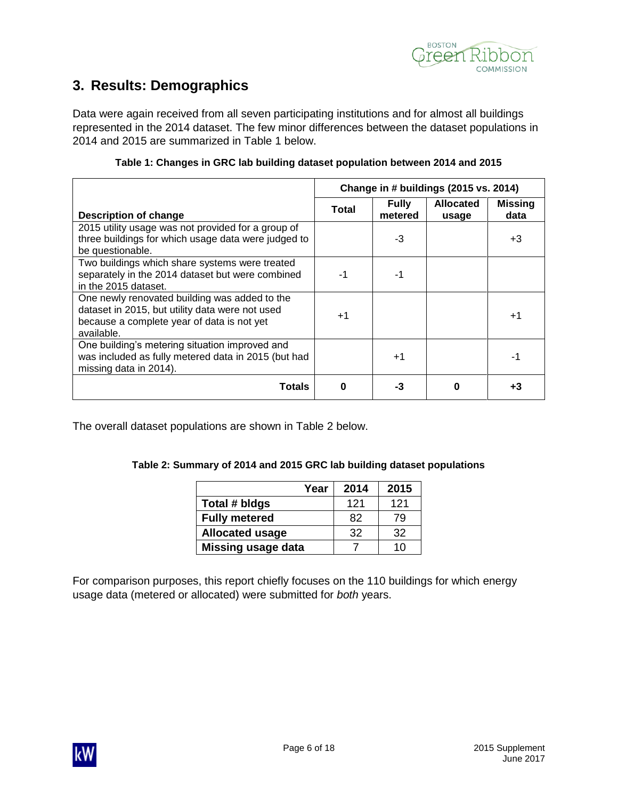

## <span id="page-7-0"></span>**3. Results: Demographics**

Data were again received from all seven participating institutions and for almost all buildings represented in the 2014 dataset. The few minor differences between the dataset populations in 2014 and 2015 are summarized in [Table 1](#page-7-1) below.

<span id="page-7-1"></span>

|                                                                                                                                                              | Change in # buildings (2015 vs. 2014) |                         |                           |                        |
|--------------------------------------------------------------------------------------------------------------------------------------------------------------|---------------------------------------|-------------------------|---------------------------|------------------------|
| <b>Description of change</b>                                                                                                                                 | <b>Total</b>                          | <b>Fully</b><br>metered | <b>Allocated</b><br>usage | <b>Missing</b><br>data |
| 2015 utility usage was not provided for a group of<br>three buildings for which usage data were judged to<br>be questionable.                                |                                       | -3                      |                           | +3                     |
| Two buildings which share systems were treated<br>separately in the 2014 dataset but were combined<br>in the 2015 dataset.                                   | $-1$                                  |                         |                           |                        |
| One newly renovated building was added to the<br>dataset in 2015, but utility data were not used<br>because a complete year of data is not yet<br>available. | $+1$                                  |                         |                           | $+1$                   |
| One building's metering situation improved and<br>was included as fully metered data in 2015 (but had<br>missing data in 2014).                              |                                       | $+1$                    |                           | -1                     |
| <b>Totals</b>                                                                                                                                                | $\Omega$                              | -3                      | $\Omega$                  | +3                     |

#### **Table 1: Changes in GRC lab building dataset population between 2014 and 2015**

<span id="page-7-2"></span>The overall dataset populations are shown in [Table 2](#page-7-2) below.

#### **Table 2: Summary of 2014 and 2015 GRC lab building dataset populations**

| Year                      | 2014 | 2015 |
|---------------------------|------|------|
| Total # bldgs             | 121  | 121  |
| <b>Fully metered</b>      | 82   | 79   |
| <b>Allocated usage</b>    | 32   | 32   |
| <b>Missing usage data</b> |      | 10   |

For comparison purposes, this report chiefly focuses on the 110 buildings for which energy usage data (metered or allocated) were submitted for *both* years.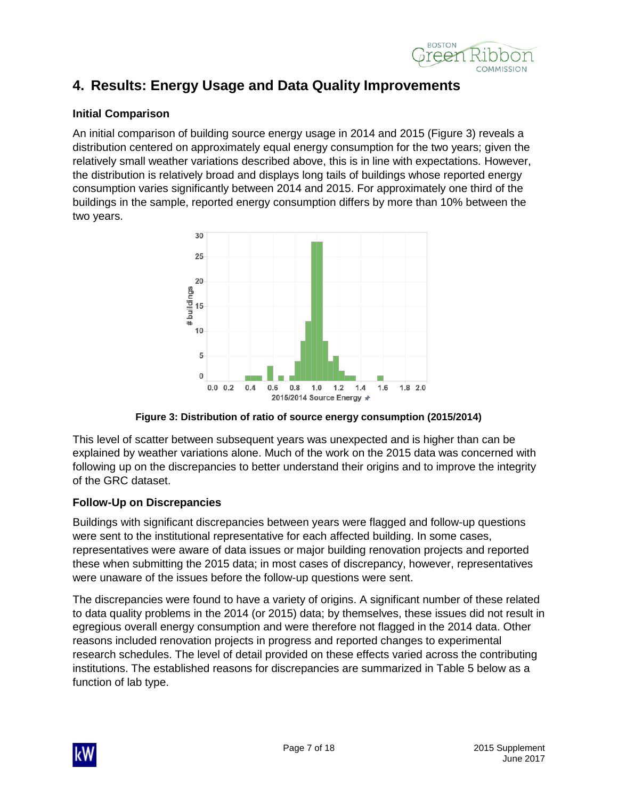

## <span id="page-8-0"></span>**4. Results: Energy Usage and Data Quality Improvements**

#### <span id="page-8-1"></span>**Initial Comparison**

An initial comparison of building source energy usage in 2014 and 2015 [\(Figure 3\)](#page-8-2) reveals a distribution centered on approximately equal energy consumption for the two years; given the relatively small weather variations described above, this is in line with expectations. However, the distribution is relatively broad and displays long tails of buildings whose reported energy consumption varies significantly between 2014 and 2015. For approximately one third of the buildings in the sample, reported energy consumption differs by more than 10% between the two years.



**Figure 3: Distribution of ratio of source energy consumption (2015/2014)**

<span id="page-8-2"></span>This level of scatter between subsequent years was unexpected and is higher than can be explained by weather variations alone. Much of the work on the 2015 data was concerned with following up on the discrepancies to better understand their origins and to improve the integrity of the GRC dataset.

#### **Follow-Up on Discrepancies**

Buildings with significant discrepancies between years were flagged and follow-up questions were sent to the institutional representative for each affected building. In some cases, representatives were aware of data issues or major building renovation projects and reported these when submitting the 2015 data; in most cases of discrepancy, however, representatives were unaware of the issues before the follow-up questions were sent.

The discrepancies were found to have a variety of origins. A significant number of these related to data quality problems in the 2014 (or 2015) data; by themselves, these issues did not result in egregious overall energy consumption and were therefore not flagged in the 2014 data. Other reasons included renovation projects in progress and reported changes to experimental research schedules. The level of detail provided on these effects varied across the contributing institutions. The established reasons for discrepancies are summarized in [Table 5](#page-13-3) below as a function of lab type.

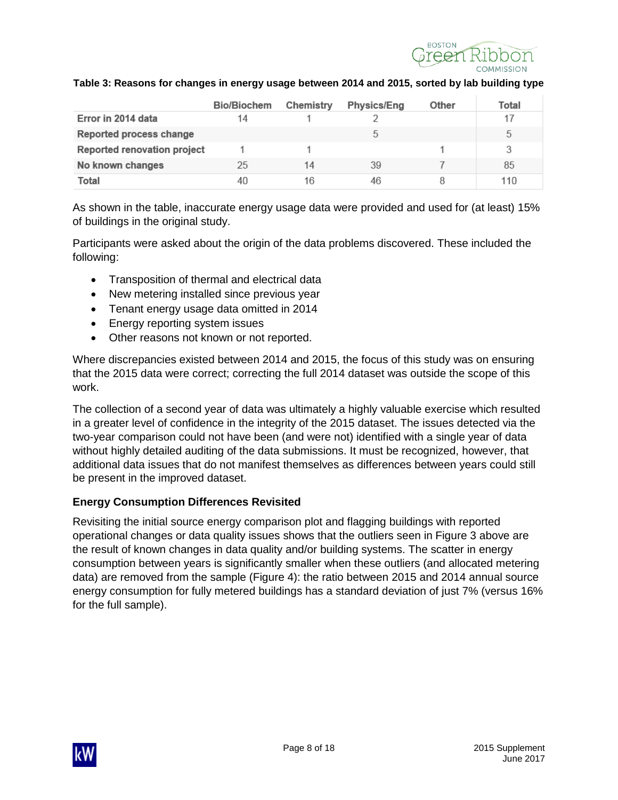

|                             | Bio/Biochem | Chemistry | <b>Physics/Eng</b> | Other | Total |
|-----------------------------|-------------|-----------|--------------------|-------|-------|
| Error in 2014 data          | 14          |           |                    |       |       |
| Reported process change     |             |           |                    |       | 5     |
| Reported renovation project |             |           |                    |       |       |
| No known changes            | 25          | 14        | 39                 |       | 85    |
| Total                       | 40          | 16        | 46                 | 8     | 110   |

#### **Table 3: Reasons for changes in energy usage between 2014 and 2015, sorted by lab building type**

As shown in the table, inaccurate energy usage data were provided and used for (at least) 15% of buildings in the original study.

Participants were asked about the origin of the data problems discovered. These included the following:

- Transposition of thermal and electrical data
- New metering installed since previous year
- Tenant energy usage data omitted in 2014
- Energy reporting system issues
- Other reasons not known or not reported.

Where discrepancies existed between 2014 and 2015, the focus of this study was on ensuring that the 2015 data were correct; correcting the full 2014 dataset was outside the scope of this work.

The collection of a second year of data was ultimately a highly valuable exercise which resulted in a greater level of confidence in the integrity of the 2015 dataset. The issues detected via the two-year comparison could not have been (and were not) identified with a single year of data without highly detailed auditing of the data submissions. It must be recognized, however, that additional data issues that do not manifest themselves as differences between years could still be present in the improved dataset.

#### <span id="page-9-0"></span>**Energy Consumption Differences Revisited**

Revisiting the initial source energy comparison plot and flagging buildings with reported operational changes or data quality issues shows that the outliers seen in [Figure 3](#page-8-2) above are the result of known changes in data quality and/or building systems. The scatter in energy consumption between years is significantly smaller when these outliers (and allocated metering data) are removed from the sample [\(Figure 4\)](#page-10-0): the ratio between 2015 and 2014 annual source energy consumption for fully metered buildings has a standard deviation of just 7% (versus 16% for the full sample).

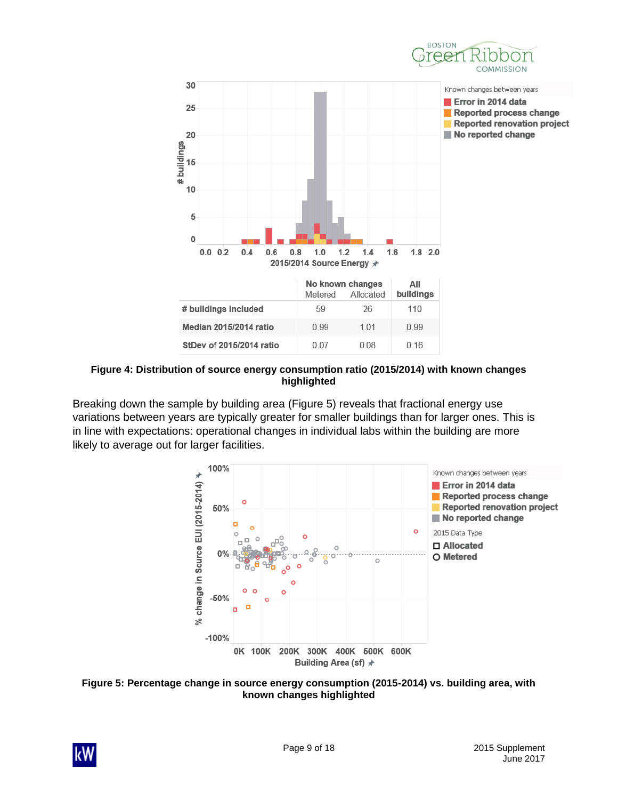



<span id="page-10-0"></span>**Figure 4: Distribution of source energy consumption ratio (2015/2014) with known changes highlighted**

Breaking down the sample by building area [\(Figure 5\)](#page-10-1) reveals that fractional energy use variations between years are typically greater for smaller buildings than for larger ones. This is in line with expectations: operational changes in individual labs within the building are more likely to average out for larger facilities.



<span id="page-10-1"></span>

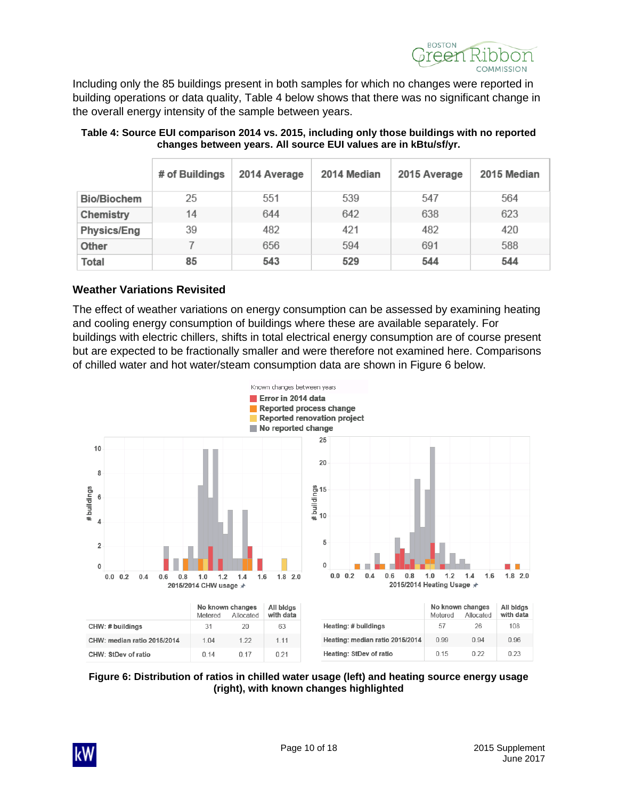

Including only the 85 buildings present in both samples for which no changes were reported in building operations or data quality, [Table 4](#page-11-1) below shows that there was no significant change in the overall energy intensity of the sample between years.

|                    | # of Buildings | 2014 Average | 2014 Median | 2015 Average | 2015 Median |
|--------------------|----------------|--------------|-------------|--------------|-------------|
| <b>Bio/Biochem</b> | 25             | 551          | 539         | 547          | 564         |
| Chemistry          | 14             | 644          | 642         | 638          | 623         |
| <b>Physics/Eng</b> | 39             | 482          | 421         | 482          | 420         |
| Other              |                | 656          | 594         | 691          | 588         |
| Total              | 85             | 543          | 529         | 544          | 544         |

#### <span id="page-11-1"></span>**Table 4: Source EUI comparison 2014 vs. 2015, including only those buildings with no reported changes between years. All source EUI values are in kBtu/sf/yr.**

#### <span id="page-11-0"></span>**Weather Variations Revisited**

The effect of weather variations on energy consumption can be assessed by examining heating and cooling energy consumption of buildings where these are available separately. For buildings with electric chillers, shifts in total electrical energy consumption are of course present but are expected to be fractionally smaller and were therefore not examined here. Comparisons of chilled water and hot water/steam consumption data are shown in [Figure 6](#page-11-2) below.



<span id="page-11-2"></span>**Figure 6: Distribution of ratios in chilled water usage (left) and heating source energy usage (right), with known changes highlighted**

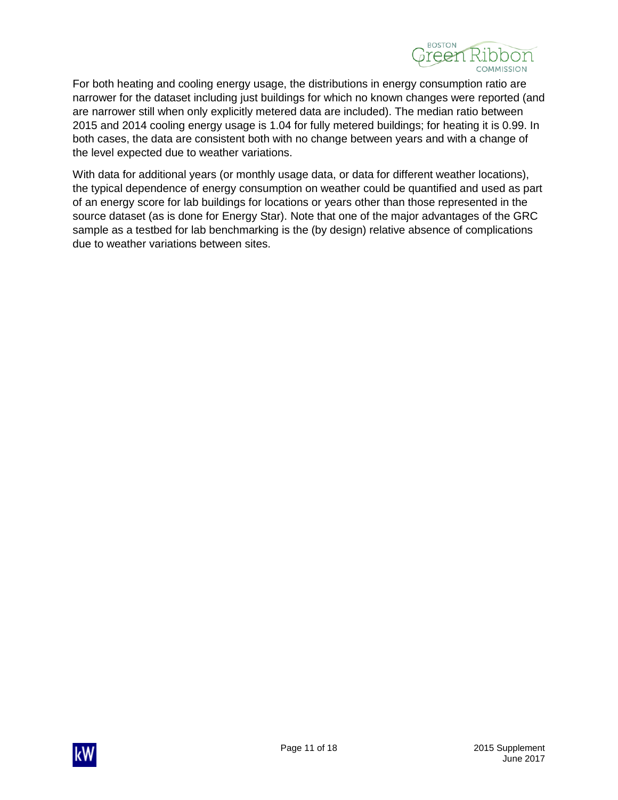

For both heating and cooling energy usage, the distributions in energy consumption ratio are narrower for the dataset including just buildings for which no known changes were reported (and are narrower still when only explicitly metered data are included). The median ratio between 2015 and 2014 cooling energy usage is 1.04 for fully metered buildings; for heating it is 0.99. In both cases, the data are consistent both with no change between years and with a change of the level expected due to weather variations.

With data for additional years (or monthly usage data, or data for different weather locations), the typical dependence of energy consumption on weather could be quantified and used as part of an energy score for lab buildings for locations or years other than those represented in the source dataset (as is done for Energy Star). Note that one of the major advantages of the GRC sample as a testbed for lab benchmarking is the (by design) relative absence of complications due to weather variations between sites.

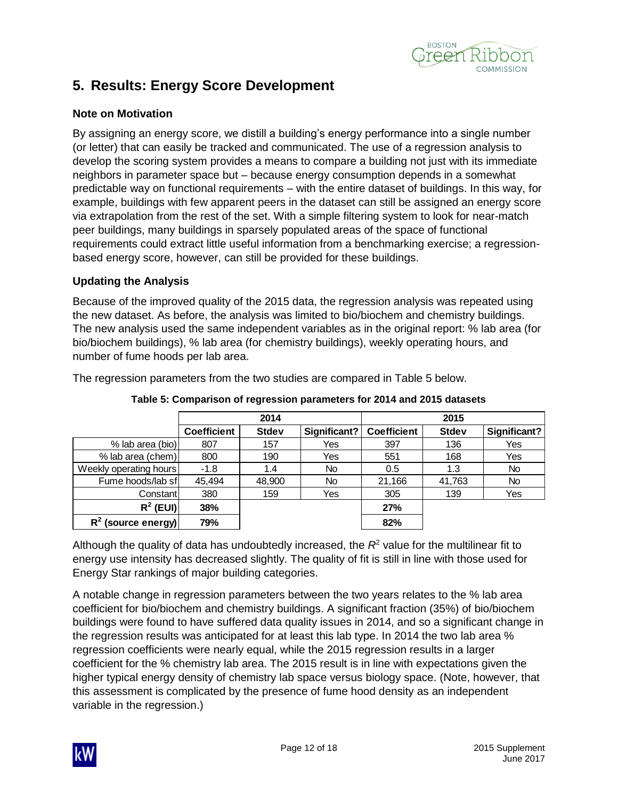

## <span id="page-13-0"></span>**5. Results: Energy Score Development**

#### <span id="page-13-1"></span>**Note on Motivation**

By assigning an energy score, we distill a building's energy performance into a single number (or letter) that can easily be tracked and communicated. The use of a regression analysis to develop the scoring system provides a means to compare a building not just with its immediate neighbors in parameter space but – because energy consumption depends in a somewhat predictable way on functional requirements – with the entire dataset of buildings. In this way, for example, buildings with few apparent peers in the dataset can still be assigned an energy score via extrapolation from the rest of the set. With a simple filtering system to look for near-match peer buildings, many buildings in sparsely populated areas of the space of functional requirements could extract little useful information from a benchmarking exercise; a regressionbased energy score, however, can still be provided for these buildings.

#### <span id="page-13-2"></span>**Updating the Analysis**

Because of the improved quality of the 2015 data, the regression analysis was repeated using the new dataset. As before, the analysis was limited to bio/biochem and chemistry buildings. The new analysis used the same independent variables as in the original report: % lab area (for bio/biochem buildings), % lab area (for chemistry buildings), weekly operating hours, and number of fume hoods per lab area.

The regression parameters from the two studies are compared in [Table 5](#page-13-3) below.

<span id="page-13-3"></span>

|                        |                    | 2014         |              |                    | 2015         |              |
|------------------------|--------------------|--------------|--------------|--------------------|--------------|--------------|
|                        | <b>Coefficient</b> | <b>Stdev</b> | Significant? | <b>Coefficient</b> | <b>Stdev</b> | Significant? |
| % lab area (bio)       | 807                | 157          | Yes          | 397                | 136          | Yes          |
| % lab area (chem)      | 800                | 190          | Yes          | 551                | 168          | Yes          |
| Weekly operating hours | $-1.8$             | 1.4          | <b>No</b>    | 0.5                | 1.3          | No           |
| Fume hoods/lab sf      | 45.494             | 48,900       | <b>No</b>    | 21,166             | 41,763       | No.          |
| Constant               | 380                | 159          | Yes          | 305                | 139          | Yes          |
| $R^2$ (EUI)            | 38%                |              |              | 27%                |              |              |
| $R^2$ (source energy)  | 79%                |              |              | 82%                |              |              |

**Table 5: Comparison of regression parameters for 2014 and 2015 datasets**

Although the quality of data has undoubtedly increased, the  $R<sup>2</sup>$  value for the multilinear fit to energy use intensity has decreased slightly. The quality of fit is still in line with those used for Energy Star rankings of major building categories.

A notable change in regression parameters between the two years relates to the % lab area coefficient for bio/biochem and chemistry buildings. A significant fraction (35%) of bio/biochem buildings were found to have suffered data quality issues in 2014, and so a significant change in the regression results was anticipated for at least this lab type. In 2014 the two lab area % regression coefficients were nearly equal, while the 2015 regression results in a larger coefficient for the % chemistry lab area. The 2015 result is in line with expectations given the higher typical energy density of chemistry lab space versus biology space. (Note, however, that this assessment is complicated by the presence of fume hood density as an independent variable in the regression.)

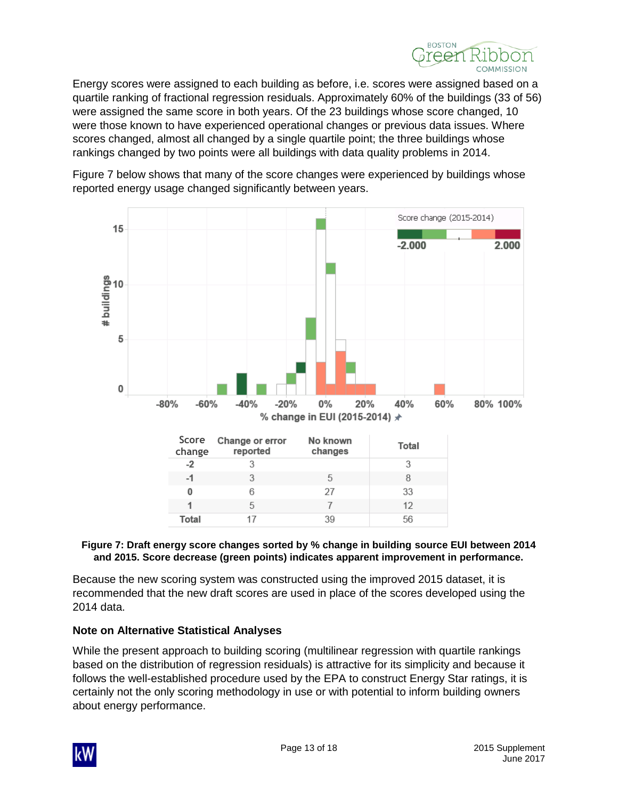

Energy scores were assigned to each building as before, i.e. scores were assigned based on a quartile ranking of fractional regression residuals. Approximately 60% of the buildings (33 of 56) were assigned the same score in both years. Of the 23 buildings whose score changed, 10 were those known to have experienced operational changes or previous data issues. Where scores changed, almost all changed by a single quartile point; the three buildings whose rankings changed by two points were all buildings with data quality problems in 2014.



[Figure 7](#page-14-1) below shows that many of the score changes were experienced by buildings whose reported energy usage changed significantly between years.

#### <span id="page-14-1"></span>**Figure 7: Draft energy score changes sorted by % change in building source EUI between 2014 and 2015. Score decrease (green points) indicates apparent improvement in performance.**

Because the new scoring system was constructed using the improved 2015 dataset, it is recommended that the new draft scores are used in place of the scores developed using the 2014 data.

#### <span id="page-14-0"></span>**Note on Alternative Statistical Analyses**

While the present approach to building scoring (multilinear regression with quartile rankings based on the distribution of regression residuals) is attractive for its simplicity and because it follows the well-established procedure used by the EPA to construct Energy Star ratings, it is certainly not the only scoring methodology in use or with potential to inform building owners about energy performance.

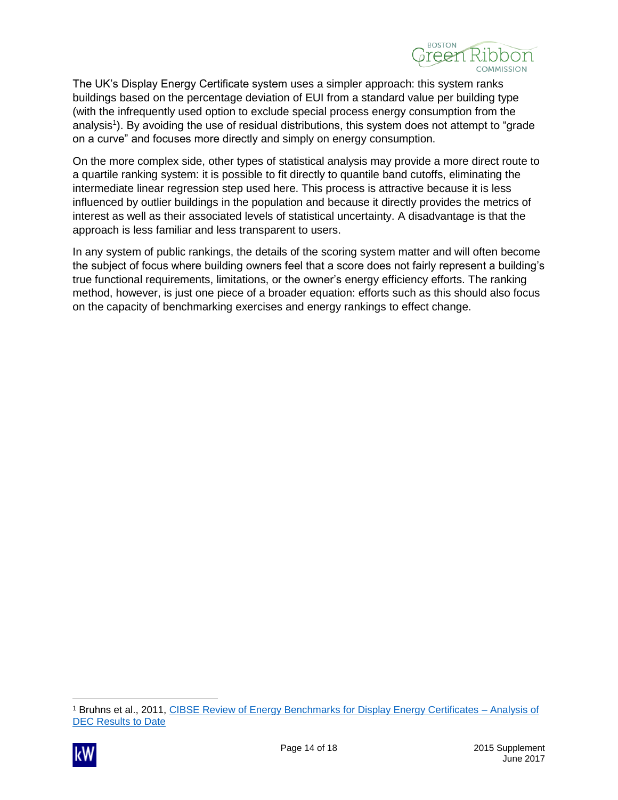

The UK's Display Energy Certificate system uses a simpler approach: this system ranks buildings based on the percentage deviation of EUI from a standard value per building type (with the infrequently used option to exclude special process energy consumption from the analysis<sup>1</sup>). By avoiding the use of residual distributions, this system does not attempt to "grade on a curve" and focuses more directly and simply on energy consumption.

On the more complex side, other types of statistical analysis may provide a more direct route to a quartile ranking system: it is possible to fit directly to quantile band cutoffs, eliminating the intermediate linear regression step used here. This process is attractive because it is less influenced by outlier buildings in the population and because it directly provides the metrics of interest as well as their associated levels of statistical uncertainty. A disadvantage is that the approach is less familiar and less transparent to users.

In any system of public rankings, the details of the scoring system matter and will often become the subject of focus where building owners feel that a score does not fairly represent a building's true functional requirements, limitations, or the owner's energy efficiency efforts. The ranking method, however, is just one piece of a broader equation: efforts such as this should also focus on the capacity of benchmarking exercises and energy rankings to effect change.

<sup>1</sup> Bruhns et al., 2011, [CIBSE Review of Energy Benchmarks for Display Energy Certificates –](http://www.cibse.org/getmedia/24a8eb88-875e-4f21-9629-008d7af7bdc7/Technical-Report_CIBSE-Report-on-45000-DECs.pdf.aspx) Analysis of [DEC Results to Date](http://www.cibse.org/getmedia/24a8eb88-875e-4f21-9629-008d7af7bdc7/Technical-Report_CIBSE-Report-on-45000-DECs.pdf.aspx)

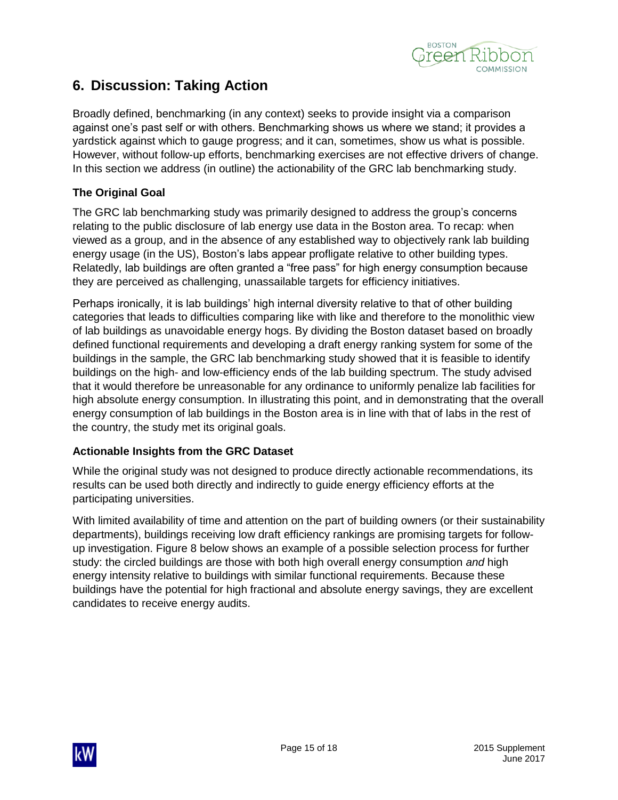

## <span id="page-16-0"></span>**6. Discussion: Taking Action**

Broadly defined, benchmarking (in any context) seeks to provide insight via a comparison against one's past self or with others. Benchmarking shows us where we stand; it provides a yardstick against which to gauge progress; and it can, sometimes, show us what is possible. However, without follow-up efforts, benchmarking exercises are not effective drivers of change. In this section we address (in outline) the actionability of the GRC lab benchmarking study.

#### <span id="page-16-1"></span>**The Original Goal**

The GRC lab benchmarking study was primarily designed to address the group's concerns relating to the public disclosure of lab energy use data in the Boston area. To recap: when viewed as a group, and in the absence of any established way to objectively rank lab building energy usage (in the US), Boston's labs appear profligate relative to other building types. Relatedly, lab buildings are often granted a "free pass" for high energy consumption because they are perceived as challenging, unassailable targets for efficiency initiatives.

Perhaps ironically, it is lab buildings' high internal diversity relative to that of other building categories that leads to difficulties comparing like with like and therefore to the monolithic view of lab buildings as unavoidable energy hogs. By dividing the Boston dataset based on broadly defined functional requirements and developing a draft energy ranking system for some of the buildings in the sample, the GRC lab benchmarking study showed that it is feasible to identify buildings on the high- and low-efficiency ends of the lab building spectrum. The study advised that it would therefore be unreasonable for any ordinance to uniformly penalize lab facilities for high absolute energy consumption. In illustrating this point, and in demonstrating that the overall energy consumption of lab buildings in the Boston area is in line with that of labs in the rest of the country, the study met its original goals.

#### <span id="page-16-2"></span>**Actionable Insights from the GRC Dataset**

While the original study was not designed to produce directly actionable recommendations, its results can be used both directly and indirectly to guide energy efficiency efforts at the participating universities.

With limited availability of time and attention on the part of building owners (or their sustainability departments), buildings receiving low draft efficiency rankings are promising targets for followup investigation. [Figure 8](#page-17-0) below shows an example of a possible selection process for further study: the circled buildings are those with both high overall energy consumption *and* high energy intensity relative to buildings with similar functional requirements. Because these buildings have the potential for high fractional and absolute energy savings, they are excellent candidates to receive energy audits.

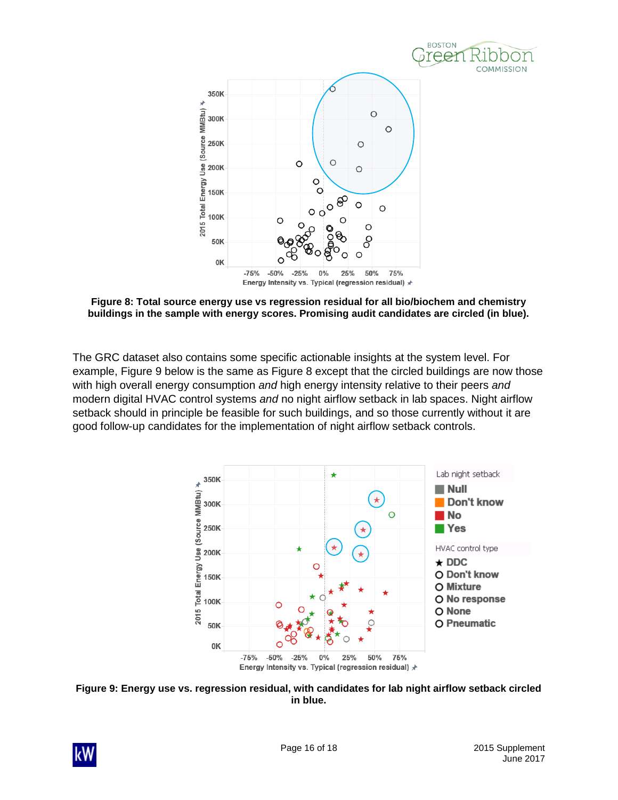

<span id="page-17-0"></span>**Figure 8: Total source energy use vs regression residual for all bio/biochem and chemistry buildings in the sample with energy scores. Promising audit candidates are circled (in blue).**

The GRC dataset also contains some specific actionable insights at the system level. For example, [Figure 9](#page-17-1) below is the same as [Figure 8](#page-17-0) except that the circled buildings are now those with high overall energy consumption *and* high energy intensity relative to their peers *and* modern digital HVAC control systems *and* no night airflow setback in lab spaces. Night airflow setback should in principle be feasible for such buildings, and so those currently without it are good follow-up candidates for the implementation of night airflow setback controls.



<span id="page-17-1"></span>**Figure 9: Energy use vs. regression residual, with candidates for lab night airflow setback circled in blue.**

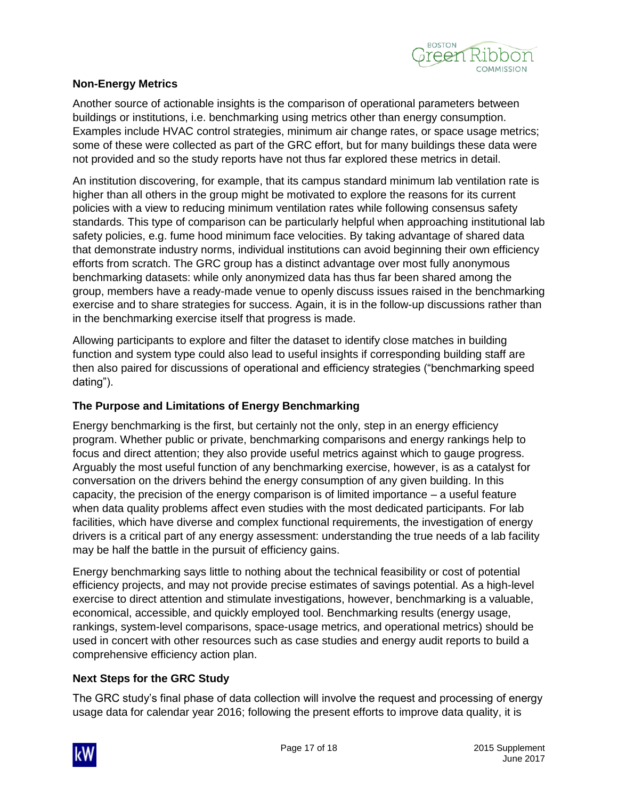

#### <span id="page-18-0"></span>**Non-Energy Metrics**

Another source of actionable insights is the comparison of operational parameters between buildings or institutions, i.e. benchmarking using metrics other than energy consumption. Examples include HVAC control strategies, minimum air change rates, or space usage metrics; some of these were collected as part of the GRC effort, but for many buildings these data were not provided and so the study reports have not thus far explored these metrics in detail.

An institution discovering, for example, that its campus standard minimum lab ventilation rate is higher than all others in the group might be motivated to explore the reasons for its current policies with a view to reducing minimum ventilation rates while following consensus safety standards. This type of comparison can be particularly helpful when approaching institutional lab safety policies, e.g. fume hood minimum face velocities. By taking advantage of shared data that demonstrate industry norms, individual institutions can avoid beginning their own efficiency efforts from scratch. The GRC group has a distinct advantage over most fully anonymous benchmarking datasets: while only anonymized data has thus far been shared among the group, members have a ready-made venue to openly discuss issues raised in the benchmarking exercise and to share strategies for success. Again, it is in the follow-up discussions rather than in the benchmarking exercise itself that progress is made.

Allowing participants to explore and filter the dataset to identify close matches in building function and system type could also lead to useful insights if corresponding building staff are then also paired for discussions of operational and efficiency strategies ("benchmarking speed dating").

#### <span id="page-18-1"></span>**The Purpose and Limitations of Energy Benchmarking**

Energy benchmarking is the first, but certainly not the only, step in an energy efficiency program. Whether public or private, benchmarking comparisons and energy rankings help to focus and direct attention; they also provide useful metrics against which to gauge progress. Arguably the most useful function of any benchmarking exercise, however, is as a catalyst for conversation on the drivers behind the energy consumption of any given building. In this capacity, the precision of the energy comparison is of limited importance – a useful feature when data quality problems affect even studies with the most dedicated participants. For lab facilities, which have diverse and complex functional requirements, the investigation of energy drivers is a critical part of any energy assessment: understanding the true needs of a lab facility may be half the battle in the pursuit of efficiency gains.

Energy benchmarking says little to nothing about the technical feasibility or cost of potential efficiency projects, and may not provide precise estimates of savings potential. As a high-level exercise to direct attention and stimulate investigations, however, benchmarking is a valuable, economical, accessible, and quickly employed tool. Benchmarking results (energy usage, rankings, system-level comparisons, space-usage metrics, and operational metrics) should be used in concert with other resources such as case studies and energy audit reports to build a comprehensive efficiency action plan.

#### <span id="page-18-2"></span>**Next Steps for the GRC Study**

The GRC study's final phase of data collection will involve the request and processing of energy usage data for calendar year 2016; following the present efforts to improve data quality, it is